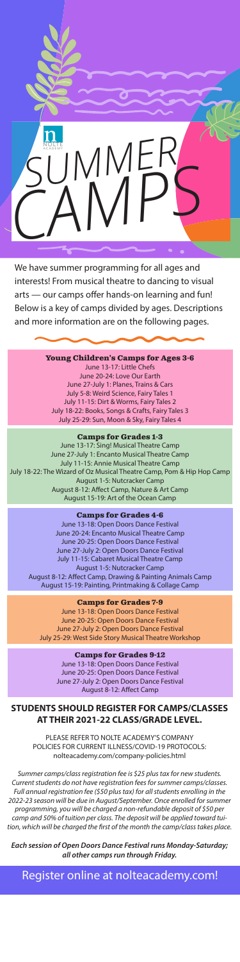

We have summer programming for all ages and interests! From musical theatre to dancing to visual arts — our camps offer hands-on learning and fun! Below is a key of camps divided by ages. Descriptions and more information are on the following pages.

> **Young Children's Camps for Ages 3-6** June 13-17: Little Chefs June 20-24: Love Our Earth June 27-July 1: Planes, Trains & Cars July 5-8: Weird Science, Fairy Tales 1 July 11-15: Dirt & Worms, Fairy Tales 2 July 18-22: Books, Songs & Crafts, Fairy Tales 3 July 25-29: Sun, Moon & Sky, Fairy Tales 4

## **Camps for Grades 1-3**

June 13-17: Sing! Musical Theatre Camp June 27-July 1: Encanto Musical Theatre Camp July 11-15: Annie Musical Theatre Camp July 18-22: The Wizard of Oz Musical Theatre Camp, Pom & Hip Hop Camp August 1-5: Nutcracker Camp August 8-12: Affect Camp, Nature & Art Camp August 15-19: Art of the Ocean Camp

#### **Camps for Grades 4-6**

June 13-18: Open Doors Dance Festival June 20-24: Encanto Musical Theatre Camp June 20-25: Open Doors Dance Festival June 27-July 2: Open Doors Dance Festival July 11-15: Cabaret Musical Theatre Camp August 1-5: Nutcracker Camp August 8-12: Affect Camp, Drawing & Painting Animals Camp August 15-19: Painting, Printmaking & Collage Camp

#### **Camps for Grades 7-9**

June 13-18: Open Doors Dance Festival June 20-25: Open Doors Dance Festival June 27-July 2: Open Doors Dance Festival July 25-29: West Side Story Musical Theatre Workshop

> **Camps for Grades 9-12** June 13-18: Open Doors Dance Festival June 20-25: Open Doors Dance Festival June 27-July 2: Open Doors Dance Festival August 8-12: Affect Camp

## **STUDENTS SHOULD REGISTER FOR CAMPS/CLASSES AT THEIR 2021-22 CLASS/GRADE LEVEL.**

PLEASE REFER TO NOLTE ACADEMY'S COMPANY POLICIES FOR CURRENT ILLNESS/COVID-19 PROTOCOLS: nolteacademy.com/company-policies.html

*Summer camps/class registration fee is \$25 plus tax for new students. Current students do not have registration fees for summer camps/classes. Full annual registration fee (\$50 plus tax) for all students enrolling in the 2022-23 season will be due in August/September. Once enrolled for summer programming, you will be charged a non-refundable deposit of \$50 per camp and 50% of tuition per class. The deposit will be applied toward tuition, which will be charged the first of the month the camp/class takes place.*

*Each session of Open Doors Dance Festival runs Monday-Saturday; all other camps run through Friday.*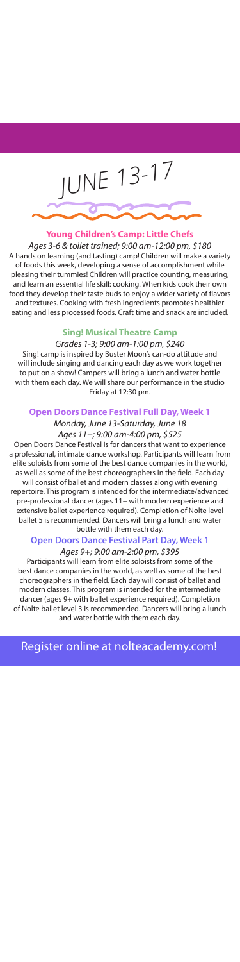

# **Young Children's Camp: Little Chefs**

*Ages 3-6 & toilet trained; 9:00 am-12:00 pm, \$180*  A hands on learning (and tasting) camp! Children will make a variety of foods this week, developing a sense of accomplishment while pleasing their tummies! Children will practice counting, measuring, and learn an essential life skill: cooking. When kids cook their own food they develop their taste buds to enjoy a wider variety of flavors and textures. Cooking with fresh ingredients promotes healthier eating and less processed foods. Craft time and snack are included.

### **Sing! Musical Theatre Camp**

*Grades 1-3; 9:00 am-1:00 pm, \$240* 

Sing! camp is inspired by Buster Moon's can-do attitude and will include singing and dancing each day as we work together to put on a show! Campers will bring a lunch and water bottle with them each day. We will share our performance in the studio Friday at 12:30 pm.

# **Open Doors Dance Festival Full Day, Week 1**

# *Monday, June 13-Saturday, June 18 Ages 11+; 9:00 am-4:00 pm, \$525*

Open Doors Dance Festival is for dancers that want to experience a professional, intimate dance workshop. Participants will learn from elite soloists from some of the best dance companies in the world, as well as some of the best choreographers in the field. Each day will consist of ballet and modern classes along with evening repertoire. This program is intended for the intermediate/advanced pre-professional dancer (ages 11+ with modern experience and extensive ballet experience required). Completion of Nolte level ballet 5 is recommended. Dancers will bring a lunch and water bottle with them each day.

## **Open Doors Dance Festival Part Day, Week 1** *Ages 9+; 9:00 am-2:00 pm, \$395*

Participants will learn from elite soloists from some of the best dance companies in the world, as well as some of the best choreographers in the field. Each day will consist of ballet and modern classes. This program is intended for the intermediate dancer (ages 9+ with ballet experience required). Completion of Nolte ballet level 3 is recommended. Dancers will bring a lunch and water bottle with them each day.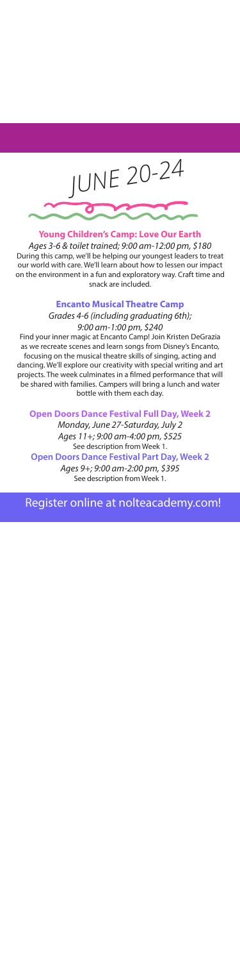

**Young Children's Camp: Love Our Earth**

*Ages 3-6 & toilet trained; 9:00 am-12:00 pm, \$180* During this camp, we'll be helping our youngest leaders to treat our world with care. We'll learn about how to lessen our impact on the environment in a fun and exploratory way. Craft time and snack are included.

# **Encanto Musical Theatre Camp**

# *Grades 4-6 (including graduating 6th); 9:00 am-1:00 pm, \$240*

Find your inner magic at Encanto Camp! Join Kristen DeGrazia as we recreate scenes and learn songs from Disney's Encanto, focusing on the musical theatre skills of singing, acting and dancing. We'll explore our creativity with special writing and art projects. The week culminates in a filmed performance that will be shared with families. Campers will bring a lunch and water bottle with them each day.

#### **Open Doors Dance Festival Full Day, Week 2**

*Monday, June 27-Saturday, July 2 Ages 11+; 9:00 am-4:00 pm, \$525*  See description from Week 1.

**Open Doors Dance Festival Part Day, Week 2**

*Ages 9+; 9:00 am-2:00 pm, \$395* See description from Week 1.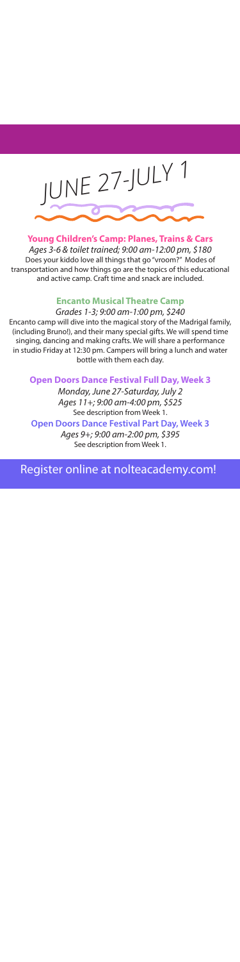

# **Young Children's Camp: Planes, Trains & Cars**

*Ages 3-6 & toilet trained; 9:00 am-12:00 pm, \$180*  Does your kiddo love all things that go "vroom?" Modes of transportation and how things go are the topics of this educational and active camp. Craft time and snack are included.

### **Encanto Musical Theatre Camp**

*Grades 1-3; 9:00 am-1:00 pm, \$240* Encanto camp will dive into the magical story of the Madrigal family, (including Bruno!), and their many special gifts. We will spend time singing, dancing and making crafts. We will share a performance in studio Friday at 12:30 pm. Campers will bring a lunch and water bottle with them each day.

**Open Doors Dance Festival Full Day, Week 3**

*Monday, June 27-Saturday, July 2 Ages 11+; 9:00 am-4:00 pm, \$525*  See description from Week 1.

**Open Doors Dance Festival Part Day, Week 3** *Ages 9+; 9:00 am-2:00 pm, \$395* See description from Week 1.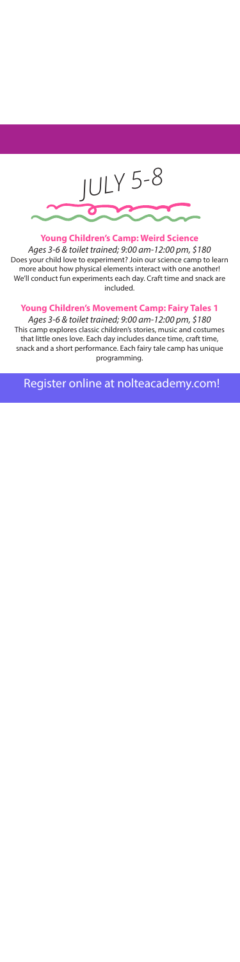

**Young Children's Camp: Weird Science** *Ages 3-6 & toilet trained; 9:00 am-12:00 pm, \$180* Does your child love to experiment? Join our science camp to learn more about how physical elements interact with one another! We'll conduct fun experiments each day. Craft time and snack are included.

### **Young Children's Movement Camp: Fairy Tales 1**

*Ages 3-6 & toilet trained; 9:00 am-12:00 pm, \$180*  This camp explores classic children's stories, music and costumes that little ones love. Each day includes dance time, craft time, snack and a short performance. Each fairy tale camp has unique programming.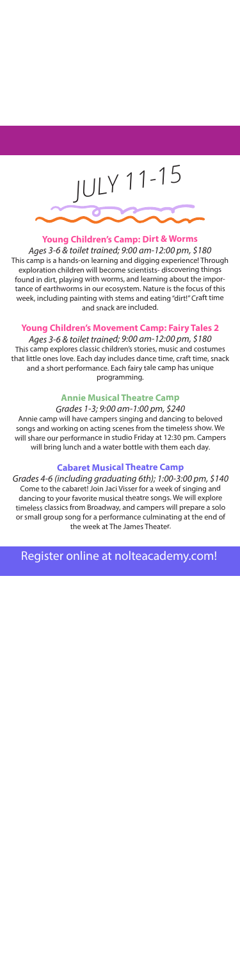

# **Young Children's Camp: Dirt & Worms**

*Ages 3-6 & toilet trained; 9:00 am-12:00 pm, \$180*  This camp is a hands-on learning and digging experience! Through exploration children will become scientists- discovering things found in dirt, playing with worms, and learning about the importance of earthworms in our ecosystem. Nature is the focus of this week, including painting with stems and eating "dirt!" Craft time and snack are included.

## **Young Children's Movement Camp: Fairy Tales 2**

*Ages 3-6 & toilet trained; 9:00 am-12:00 pm, \$180*  This camp explores classic children's stories, music and costumes that little ones love. Each day includes dance time, craft time, snack and a short performance. Each fairy tale camp has unique programming.

# **Annie Musical Theatre Camp**

#### *Grades 1-3; 9:00 am-1:00 pm, \$240*

Annie camp will have campers singing and dancing to beloved songs and working on acting scenes from the timeless show. We will share our performance in studio Friday at 12:30 pm. Campers will bring lunch and a water bottle with them each day.

# **Cabaret Musical Theatre Camp**

*Grades 4-6 (including graduating 6th); 1:00-3:00 pm, \$140* Come to the cabaret! Join Jaci Visser for a week of singing and dancing to your favorite musical theatre songs. We will explore timeless classics from Broadway, and campers will prepare a solo or small group song for a performance culminating at the end of the week at The James Theater.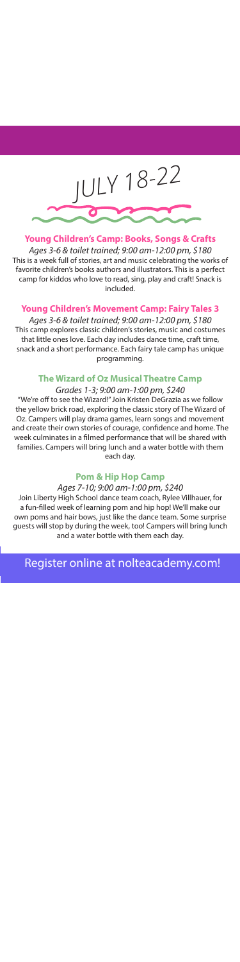

**Young Children's Camp: Books, Songs & Crafts** *Ages 3-6 & toilet trained; 9:00 am-12:00 pm, \$180*  This is a week full of stories, art and music celebrating the works of favorite children's books authors and illustrators. This is a perfect camp for kiddos who love to read, sing, play and craft! Snack is included.

## **Young Children's Movement Camp: Fairy Tales 3**

*Ages 3-6 & toilet trained; 9:00 am-12:00 pm, \$180*  This camp explores classic children's stories, music and costumes that little ones love. Each day includes dance time, craft time, snack and a short performance. Each fairy tale camp has unique programming.

# **The Wizard of Oz Musical Theatre Camp**

*Grades 1-3; 9:00 am-1:00 pm, \$240* "We're off to see the Wizard!" Join Kristen DeGrazia as we follow the yellow brick road, exploring the classic story of The Wizard of Oz. Campers will play drama games, learn songs and movement and create their own stories of courage, confidence and home. The week culminates in a filmed performance that will be shared with families. Campers will bring lunch and a water bottle with them each day.

# **Pom & Hip Hop Camp**

### *Ages 7-10; 9:00 am-1:00 pm, \$240*

Join Liberty High School dance team coach, Rylee Villhauer, for a fun-filled week of learning pom and hip hop! We'll make our own poms and hair bows, just like the dance team. Some surprise guests will stop by during the week, too! Campers will bring lunch and a water bottle with them each day.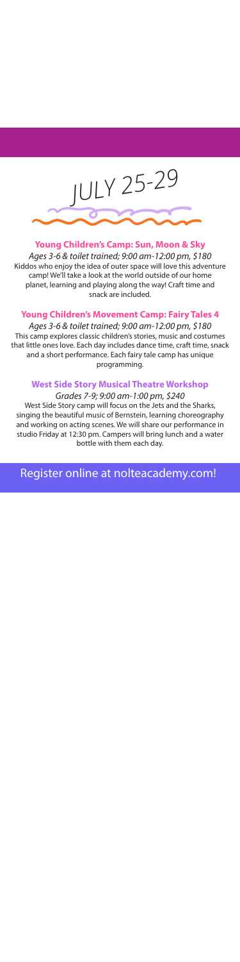

**Young Children's Camp: Sun, Moon & Sky** *Ages 3-6 & toilet trained; 9:00 am-12:00 pm, \$180*  Kiddos who enjoy the idea of outer space will love this adventure camp! We'll take a look at the world outside of our home planet, learning and playing along the way! Craft time and snack are included.

**Young Children's Movement Camp: Fairy Tales 4**

*Ages 3-6 & toilet trained; 9:00 am-12:00 pm, \$180*  This camp explores classic children's stories, music and costumes that little ones love. Each day includes dance time, craft time, snack and a short performance. Each fairy tale camp has unique programming.

#### **West Side Story Musical Theatre Workshop** *Grades 7-9; 9:00 am-1:00 pm, \$240*

West Side Story camp will focus on the Jets and the Sharks, singing the beautiful music of Bernstein, learning choreography and working on acting scenes. We will share our performance in studio Friday at 12:30 pm. Campers will bring lunch and a water bottle with them each day.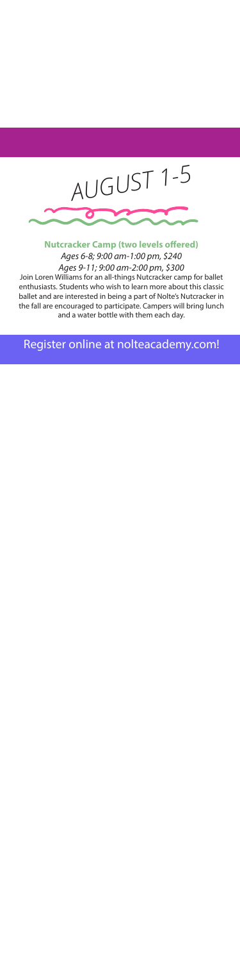

**Nutcracker Camp (two levels offered)** *Ages 6-8; 9:00 am-1:00 pm, \$240 Ages 9-11; 9:00 am-2:00 pm, \$300*

Join Loren Williams for an all-things Nutcracker camp for ballet enthusiasts. Students who wish to learn more about this classic ballet and are interested in being a part of Nolte's Nutcracker in the fall are encouraged to participate. Campers will bring lunch and a water bottle with them each day.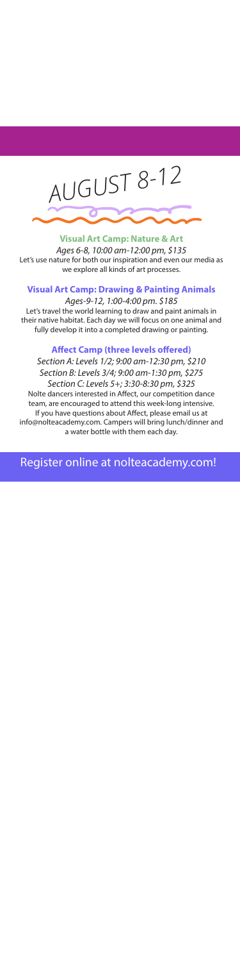

**Visual Art Camp: Nature & Art** *Ages 6-8, 10:00 am-12:00 pm, \$135* Let's use nature for both our inspiration and even our media as we explore all kinds of art processes.

# **Visual Art Camp: Drawing & Painting Animals**

*Ages-9-12, 1:00-4:00 pm. \$185* Let's travel the world learning to draw and paint animals in their native habitat. Each day we will focus on one animal and fully develop it into a completed drawing or painting.

## **Affect Camp (three levels offered)**

*Section A: Levels 1/2; 9:00 am-12:30 pm, \$210 Section B: Levels 3/4; 9:00 am-1:30 pm, \$275 Section C: Levels 5+; 3:30-8:30 pm, \$325*

Nolte dancers interested in Affect, our competition dance team, are encouraged to attend this week-long intensive. If you have questions about Affect, please email us at info@nolteacademy.com. Campers will bring lunch/dinner and a water bottle with them each day.